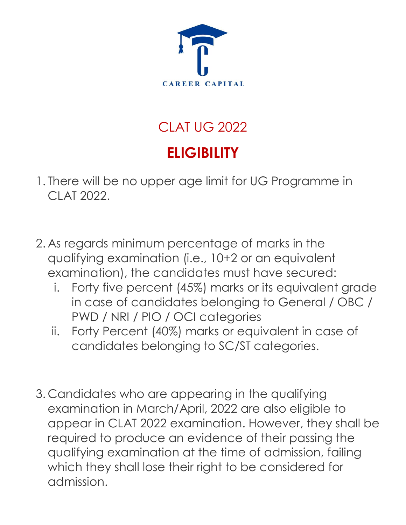

## CLAT UG 2022 **ELIGIBILITY**

- 1. There will be no upper age limit for UG Programme in CLAT 2022.
- 2. As regards minimum percentage of marks in the qualifying examination (i.e., 10+2 or an equivalent examination), the candidates must have secured:
	- i. Forty five percent (45%) marks or its equivalent grade in case of candidates belonging to General / OBC / PWD / NRI / PIO / OCI categories
	- ii. Forty Percent (40%) marks or equivalent in case of candidates belonging to SC/ST categories.
- 3. Candidates who are appearing in the qualifying examination in March/April, 2022 are also eligible to appear in CLAT 2022 examination. However, they shall be required to produce an evidence of their passing the qualifying examination at the time of admission, failing which they shall lose their right to be considered for admission.